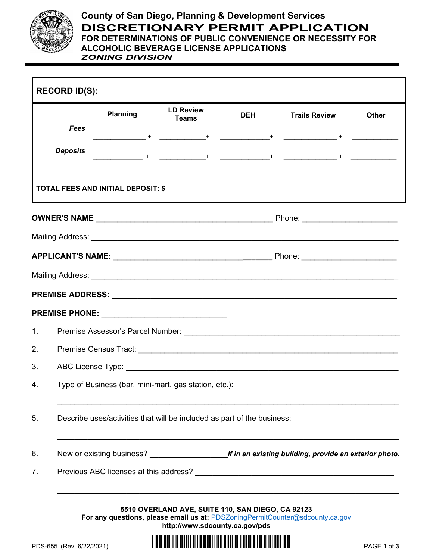

## **County of San Diego, Planning & Development Services DISCRETIONARY PERMIT APPLICATION FOR DETERMINATIONS OF PUBLIC CONVENIENCE OR NECESSITY FOR ALCOHOLIC BEVERAGE LICENSE APPLICATIONS**

*ZONING DIVISION*

|                | Planning                                                                | <b>LD Review</b><br><b>Teams</b> | <b>DEH</b> | <b>Trails Review</b> | <b>Other</b> |  |
|----------------|-------------------------------------------------------------------------|----------------------------------|------------|----------------------|--------------|--|
|                | <b>Fees</b>                                                             |                                  |            |                      |              |  |
|                | <b>Deposits</b>                                                         |                                  |            |                      |              |  |
|                |                                                                         |                                  |            |                      |              |  |
|                |                                                                         |                                  |            |                      |              |  |
|                |                                                                         |                                  |            |                      |              |  |
|                |                                                                         |                                  |            |                      |              |  |
|                |                                                                         |                                  |            |                      |              |  |
|                |                                                                         |                                  |            |                      |              |  |
|                |                                                                         |                                  |            |                      |              |  |
| 1 <sub>1</sub> |                                                                         |                                  |            |                      |              |  |
| 2.             |                                                                         |                                  |            |                      |              |  |
| 3.             |                                                                         |                                  |            |                      |              |  |
| 4.             | Type of Business (bar, mini-mart, gas station, etc.):                   |                                  |            |                      |              |  |
| 5.             | Describe uses/activities that will be included as part of the business: |                                  |            |                      |              |  |
| 6.             |                                                                         |                                  |            |                      |              |  |
| 7.             |                                                                         |                                  |            |                      |              |  |

**<http://www.sdcounty.ca.gov/pds>**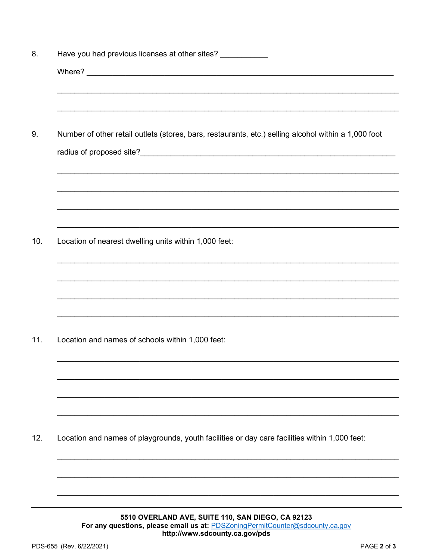| 8.  | Have you had previous licenses at other sites? ___________                                           |  |  |  |  |
|-----|------------------------------------------------------------------------------------------------------|--|--|--|--|
|     |                                                                                                      |  |  |  |  |
|     |                                                                                                      |  |  |  |  |
|     |                                                                                                      |  |  |  |  |
| 9.  | Number of other retail outlets (stores, bars, restaurants, etc.) selling alcohol within a 1,000 foot |  |  |  |  |
|     |                                                                                                      |  |  |  |  |
|     |                                                                                                      |  |  |  |  |
|     |                                                                                                      |  |  |  |  |
|     |                                                                                                      |  |  |  |  |
|     |                                                                                                      |  |  |  |  |
|     |                                                                                                      |  |  |  |  |
| 10. | Location of nearest dwelling units within 1,000 feet:                                                |  |  |  |  |
|     |                                                                                                      |  |  |  |  |
|     |                                                                                                      |  |  |  |  |
|     |                                                                                                      |  |  |  |  |
|     |                                                                                                      |  |  |  |  |
|     |                                                                                                      |  |  |  |  |
| 11. | Location and names of schools within 1,000 feet:                                                     |  |  |  |  |
|     |                                                                                                      |  |  |  |  |
|     |                                                                                                      |  |  |  |  |
|     |                                                                                                      |  |  |  |  |
|     |                                                                                                      |  |  |  |  |
| 12. | Location and names of playgrounds, youth facilities or day care facilities within 1,000 feet:        |  |  |  |  |
|     |                                                                                                      |  |  |  |  |
|     |                                                                                                      |  |  |  |  |
|     |                                                                                                      |  |  |  |  |
|     |                                                                                                      |  |  |  |  |

5510 OVERLAND AVE, SUITE 110, SAN DIEGO, CA 92123 For any questions, please email us at: PDSZoningPermitCounter@sdcounty.ca.gov http://www.sdcounty.ca.gov/pds